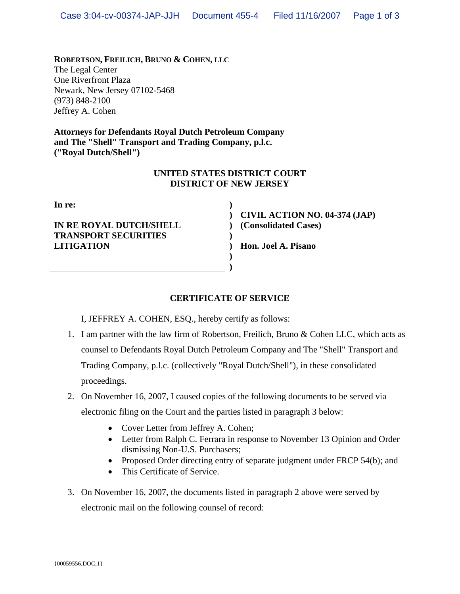**ROBERTSON, FREILICH, BRUNO & COHEN, LLC** The Legal Center One Riverfront Plaza Newark, New Jersey 07102-5468 (973) 848-2100 Jeffrey A. Cohen

**Attorneys for Defendants Royal Dutch Petroleum Company and The "Shell" Transport and Trading Company, p.l.c. ("Royal Dutch/Shell")** 

#### **UNITED STATES DISTRICT COURT DISTRICT OF NEW JERSEY**

**)**

**)**

**) )**

**IN RE ROYAL DUTCH/SHELL TRANSPORT SECURITIES LITIGATION** 

**) CIVIL ACTION NO. 04-374 (JAP) ) (Consolidated Cases)** 

**) Hon. Joel A. Pisano** 

# **CERTIFICATE OF SERVICE**

I, JEFFREY A. COHEN, ESQ., hereby certify as follows:

- 1. I am partner with the law firm of Robertson, Freilich, Bruno & Cohen LLC, which acts as counsel to Defendants Royal Dutch Petroleum Company and The "Shell" Transport and Trading Company, p.l.c. (collectively "Royal Dutch/Shell"), in these consolidated proceedings.
- 2. On November 16, 2007, I caused copies of the following documents to be served via electronic filing on the Court and the parties listed in paragraph 3 below:
	- Cover Letter from Jeffrey A. Cohen;
	- Letter from Ralph C. Ferrara in response to November 13 Opinion and Order dismissing Non-U.S. Purchasers;
	- Proposed Order directing entry of separate judgment under FRCP 54(b); and
	- This Certificate of Service.
- 3. On November 16, 2007, the documents listed in paragraph 2 above were served by electronic mail on the following counsel of record: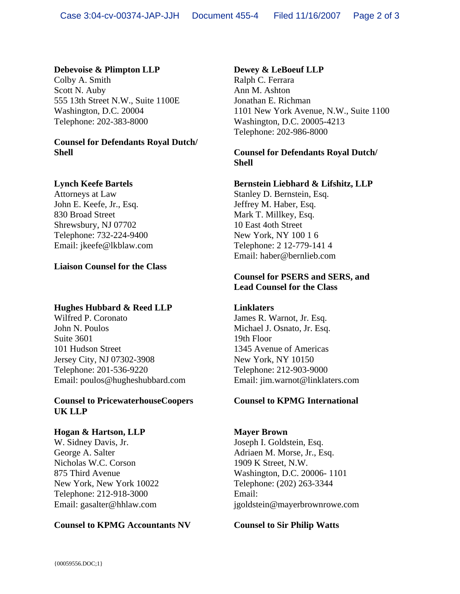#### **Debevoise & Plimpton LLP**

Colby A. Smith Scott N. Auby 555 13th Street N.W., Suite 1100E Washington, D.C. 20004 Telephone: 202-383-8000

### **Counsel for Defendants Royal Dutch/ Shell**

### **Lynch Keefe Bartels**

Attorneys at Law John E. Keefe, Jr., Esq. 830 Broad Street Shrewsbury, NJ 07702 Telephone: 732-224-9400 Email: jkeefe@lkblaw.com

### **Liaison Counsel for the Class**

### **Hughes Hubbard & Reed LLP**

Wilfred P. Coronato John N. Poulos Suite 3601 101 Hudson Street Jersey City, NJ 07302-3908 Telephone: 201-536-9220 Email: poulos@hugheshubbard.com

#### **Counsel to PricewaterhouseCoopers UK LLP**

#### **Hogan & Hartson, LLP**

W. Sidney Davis, Jr. George A. Salter Nicholas W.C. Corson 875 Third Avenue New York, New York 10022 Telephone: 212-918-3000 Email: gasalter@hhlaw.com

#### **Counsel to KPMG Accountants NV**

### **Dewey & LeBoeuf LLP**

Ralph C. Ferrara Ann M. Ashton Jonathan E. Richman 1101 New York Avenue, N.W., Suite 1100 Washington, D.C. 20005-4213 Telephone: 202-986-8000

### **Counsel for Defendants Royal Dutch/ Shell**

### **Bernstein Liebhard & Lifshitz, LLP**

Stanley D. Bernstein, Esq. Jeffrey M. Haber, Esq. Mark T. Millkey, Esq. 10 East 4oth Street New York, NY 100 1 6 Telephone: 2 12-779-141 4 Email: haber@bernlieb.com

### **Counsel for PSERS and SERS, and Lead Counsel for the Class**

### **Linklaters**

James R. Warnot, Jr. Esq. Michael J. Osnato, Jr. Esq. 19th Floor 1345 Avenue of Americas New York, NY 10150 Telephone: 212-903-9000 Email: jim.warnot@linklaters.com

### **Counsel to KPMG International**

#### **Mayer Brown**  Joseph I. Goldstein, Esq. Adriaen M. Morse, Jr., Esq. 1909 K Street, N.W. Washington, D.C. 20006- 1101

Telephone: (202) 263-3344 Email: jgoldstein@mayerbrownrowe.com

**Counsel to Sir Philip Watts**